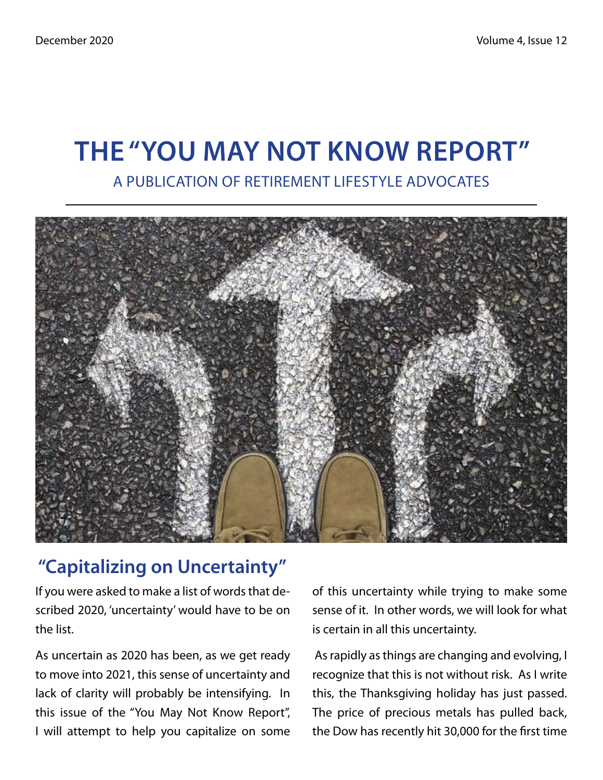# **The "You May Not Know Report"** A Publication of Retirement Lifestyle Advocates



## **"Capitalizing on Uncertainty"**

If you were asked to make a list of words that described 2020, 'uncertainty' would have to be on the list.

As uncertain as 2020 has been, as we get ready to move into 2021, this sense of uncertainty and lack of clarity will probably be intensifying. In this issue of the "You May Not Know Report", I will attempt to help you capitalize on some of this uncertainty while trying to make some sense of it. In other words, we will look for what is certain in all this uncertainty.

 As rapidly as things are changing and evolving, I recognize that this is not without risk. As I write this, the Thanksgiving holiday has just passed. The price of precious metals has pulled back, the Dow has recently hit 30,000 for the first time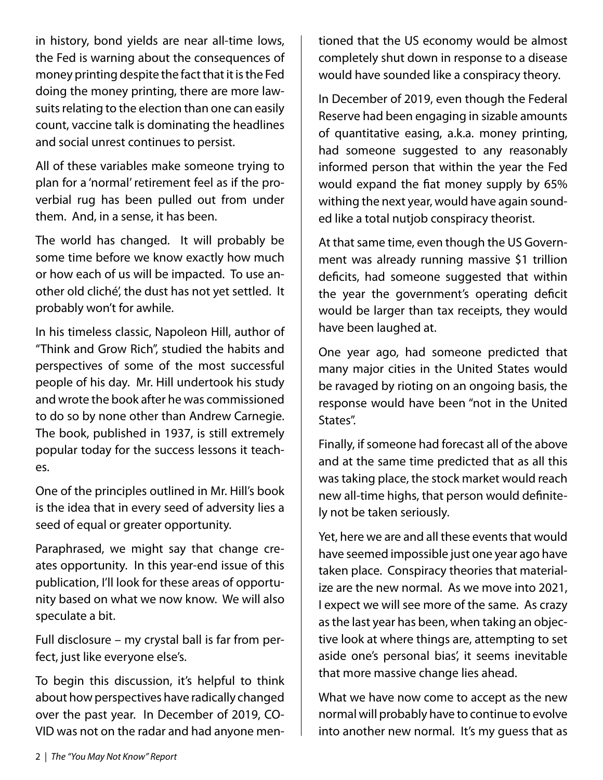in history, bond yields are near all-time lows, the Fed is warning about the consequences of money printing despite the fact that it is the Fed doing the money printing, there are more lawsuits relating to the election than one can easily count, vaccine talk is dominating the headlines and social unrest continues to persist.

All of these variables make someone trying to plan for a 'normal' retirement feel as if the proverbial rug has been pulled out from under them. And, in a sense, it has been.

The world has changed. It will probably be some time before we know exactly how much or how each of us will be impacted. To use another old cliché', the dust has not yet settled. It probably won't for awhile.

In his timeless classic, Napoleon Hill, author of "Think and Grow Rich", studied the habits and perspectives of some of the most successful people of his day. Mr. Hill undertook his study and wrote the book after he was commissioned to do so by none other than Andrew Carnegie. The book, published in 1937, is still extremely popular today for the success lessons it teaches.

One of the principles outlined in Mr. Hill's book is the idea that in every seed of adversity lies a seed of equal or greater opportunity.

Paraphrased, we might say that change creates opportunity. In this year-end issue of this publication, I'll look for these areas of opportunity based on what we now know. We will also speculate a bit.

Full disclosure – my crystal ball is far from perfect, just like everyone else's.

To begin this discussion, it's helpful to think about how perspectives have radically changed over the past year. In December of 2019, CO-VID was not on the radar and had anyone mentioned that the US economy would be almost completely shut down in response to a disease would have sounded like a conspiracy theory.

In December of 2019, even though the Federal Reserve had been engaging in sizable amounts of quantitative easing, a.k.a. money printing, had someone suggested to any reasonably informed person that within the year the Fed would expand the fiat money supply by 65% withing the next year, would have again sounded like a total nutjob conspiracy theorist.

At that same time, even though the US Government was already running massive \$1 trillion deficits, had someone suggested that within the year the government's operating deficit would be larger than tax receipts, they would have been laughed at.

One year ago, had someone predicted that many major cities in the United States would be ravaged by rioting on an ongoing basis, the response would have been "not in the United States".

Finally, if someone had forecast all of the above and at the same time predicted that as all this was taking place, the stock market would reach new all-time highs, that person would definitely not be taken seriously.

Yet, here we are and all these events that would have seemed impossible just one year ago have taken place. Conspiracy theories that materialize are the new normal. As we move into 2021, I expect we will see more of the same. As crazy as the last year has been, when taking an objective look at where things are, attempting to set aside one's personal bias', it seems inevitable that more massive change lies ahead.

What we have now come to accept as the new normal will probably have to continue to evolve into another new normal. It's my guess that as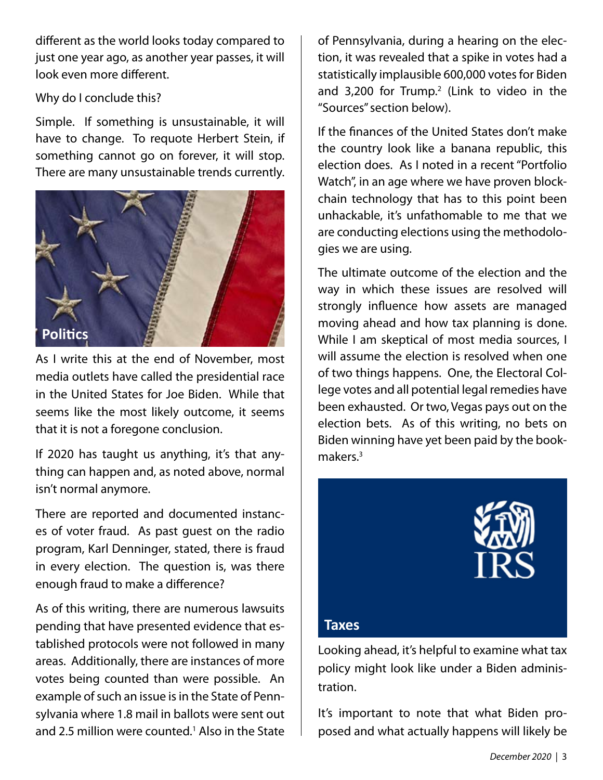different as the world looks today compared to just one year ago, as another year passes, it will look even more different.

### Why do I conclude this?

Simple. If something is unsustainable, it will have to change. To requote Herbert Stein, if something cannot go on forever, it will stop. There are many unsustainable trends currently.



As I write this at the end of November, most media outlets have called the presidential race in the United States for Joe Biden. While that seems like the most likely outcome, it seems that it is not a foregone conclusion.

If 2020 has taught us anything, it's that anything can happen and, as noted above, normal isn't normal anymore.

There are reported and documented instances of voter fraud. As past guest on the radio program, Karl Denninger, stated, there is fraud in every election. The question is, was there enough fraud to make a difference?

As of this writing, there are numerous lawsuits pending that have presented evidence that established protocols were not followed in many areas. Additionally, there are instances of more votes being counted than were possible. An example of such an issue is in the State of Pennsylvania where 1.8 mail in ballots were sent out and 2.5 million were counted.<sup>1</sup> Also in the State of Pennsylvania, during a hearing on the election, it was revealed that a spike in votes had a statistically implausible 600,000 votes for Biden and  $3,200$  for Trump.<sup>2</sup> (Link to video in the "Sources" section below).

If the finances of the United States don't make the country look like a banana republic, this election does. As I noted in a recent "Portfolio Watch", in an age where we have proven blockchain technology that has to this point been unhackable, it's unfathomable to me that we are conducting elections using the methodologies we are using.

The ultimate outcome of the election and the way in which these issues are resolved will strongly influence how assets are managed moving ahead and how tax planning is done. While I am skeptical of most media sources, I will assume the election is resolved when one of two things happens. One, the Electoral College votes and all potential legal remedies have been exhausted. Or two, Vegas pays out on the election bets. As of this writing, no bets on Biden winning have yet been paid by the bookmakers.<sup>3</sup>



## **Taxes**

Looking ahead, it's helpful to examine what tax policy might look like under a Biden administration.

It's important to note that what Biden proposed and what actually happens will likely be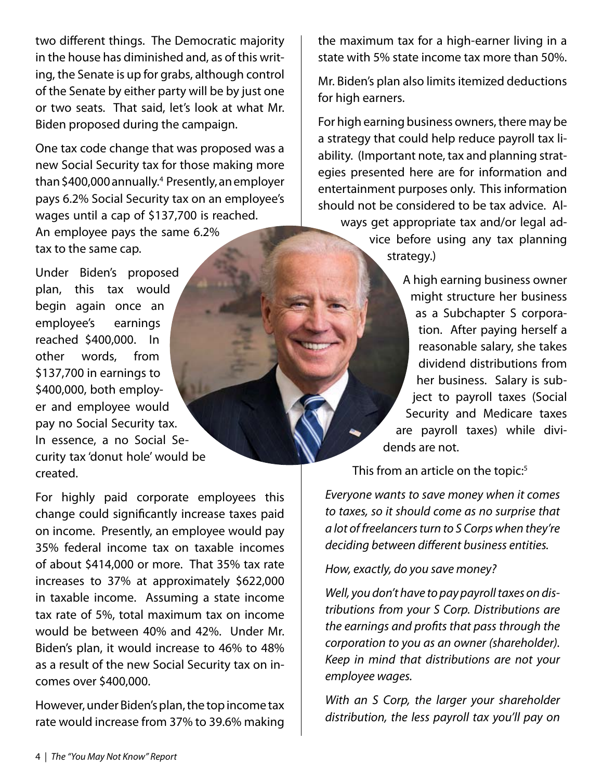two different things. The Democratic majority in the house has diminished and, as of this writing, the Senate is up for grabs, although control of the Senate by either party will be by just one or two seats. That said, let's look at what Mr. Biden proposed during the campaign.

One tax code change that was proposed was a new Social Security tax for those making more than \$400,000 annually.4 Presently, an employer pays 6.2% Social Security tax on an employee's wages until a cap of \$137,700 is reached. An employee pays the same 6.2% tax to the same cap.

Under Biden's proposed plan, this tax would begin again once an employee's earnings reached \$400,000. In other words, from \$137,700 in earnings to \$400,000, both employer and employee would pay no Social Security tax. In essence, a no Social Security tax 'donut hole' would be created.

For highly paid corporate employees this change could significantly increase taxes paid on income. Presently, an employee would pay 35% federal income tax on taxable incomes of about \$414,000 or more. That 35% tax rate increases to 37% at approximately \$622,000 in taxable income. Assuming a state income tax rate of 5%, total maximum tax on income would be between 40% and 42%. Under Mr. Biden's plan, it would increase to 46% to 48% as a result of the new Social Security tax on incomes over \$400,000.

However, under Biden's plan, the top income tax rate would increase from 37% to 39.6% making the maximum tax for a high-earner living in a state with 5% state income tax more than 50%.

Mr. Biden's plan also limits itemized deductions for high earners.

For high earning business owners, there may be a strategy that could help reduce payroll tax liability. (Important note, tax and planning strategies presented here are for information and entertainment purposes only. This information should not be considered to be tax advice. Always get appropriate tax and/or legal advice before using any tax planning strategy.)

> A high earning business owner might structure her business as a Subchapter S corporation. After paying herself a reasonable salary, she takes dividend distributions from her business. Salary is subject to payroll taxes (Social Security and Medicare taxes are payroll taxes) while dividends are not.

This from an article on the topic:<sup>5</sup>

*Everyone wants to save money when it comes to taxes, so it should come as no surprise that a lot of freelancers turn to S Corps when they're deciding between different business entities.*

*How, exactly, do you save money?*

*Well, you don't have to pay payroll taxes on distributions from your S Corp. Distributions are the earnings and profits that pass through the corporation to you as an owner (shareholder). Keep in mind that distributions are not your employee wages.*

*With an S Corp, the larger your shareholder distribution, the less payroll tax you'll pay on*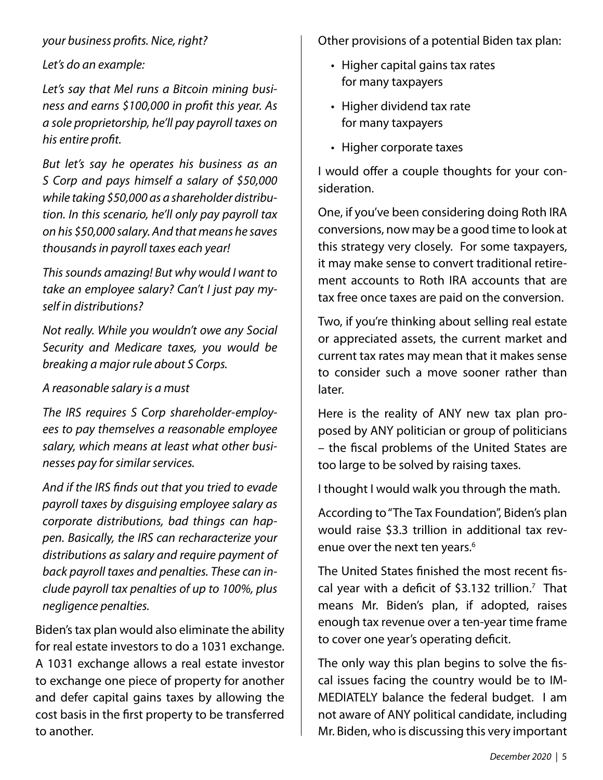## *your business profits. Nice, right?*

*Let's do an example:*

*Let's say that Mel runs a Bitcoin mining business and earns \$100,000 in profit this year. As a sole proprietorship, he'll pay payroll taxes on his entire profit.*

*But let's say he operates his business as an S Corp and pays himself a salary of \$50,000 while taking \$50,000 as a shareholder distribution. In this scenario, he'll only pay payroll tax on his \$50,000 salary. And that means he saves thousands in payroll taxes each year!*

*This sounds amazing! But why would I want to take an employee salary? Can't I just pay myself in distributions?*

*Not really. While you wouldn't owe any Social Security and Medicare taxes, you would be breaking a major rule about S Corps.*

## *A reasonable salary is a must*

*The IRS requires S Corp shareholder-employees to pay themselves a reasonable employee salary, which means at least what other businesses pay for similar services.*

*And if the IRS finds out that you tried to evade payroll taxes by disguising employee salary as corporate distributions, bad things can happen. Basically, the IRS can recharacterize your distributions as salary and require payment of back payroll taxes and penalties. These can include payroll tax penalties of up to 100%, plus negligence penalties.* 

Biden's tax plan would also eliminate the ability for real estate investors to do a 1031 exchange. A 1031 exchange allows a real estate investor to exchange one piece of property for another and defer capital gains taxes by allowing the cost basis in the first property to be transferred to another.

Other provisions of a potential Biden tax plan:

- Higher capital gains tax rates for many taxpayers
- Higher dividend tax rate for many taxpayers
- Higher corporate taxes

I would offer a couple thoughts for your consideration.

One, if you've been considering doing Roth IRA conversions, now may be a good time to look at this strategy very closely. For some taxpayers, it may make sense to convert traditional retirement accounts to Roth IRA accounts that are tax free once taxes are paid on the conversion.

Two, if you're thinking about selling real estate or appreciated assets, the current market and current tax rates may mean that it makes sense to consider such a move sooner rather than later.

Here is the reality of ANY new tax plan proposed by ANY politician or group of politicians – the fiscal problems of the United States are too large to be solved by raising taxes.

I thought I would walk you through the math.

According to "The Tax Foundation", Biden's plan would raise \$3.3 trillion in additional tax revenue over the next ten years.<sup>6</sup>

The United States finished the most recent fiscal year with a deficit of \$3.132 trillion.<sup>7</sup> That means Mr. Biden's plan, if adopted, raises enough tax revenue over a ten-year time frame to cover one year's operating deficit.

The only way this plan begins to solve the fiscal issues facing the country would be to IM-MEDIATELY balance the federal budget. I am not aware of ANY political candidate, including Mr. Biden, who is discussing this very important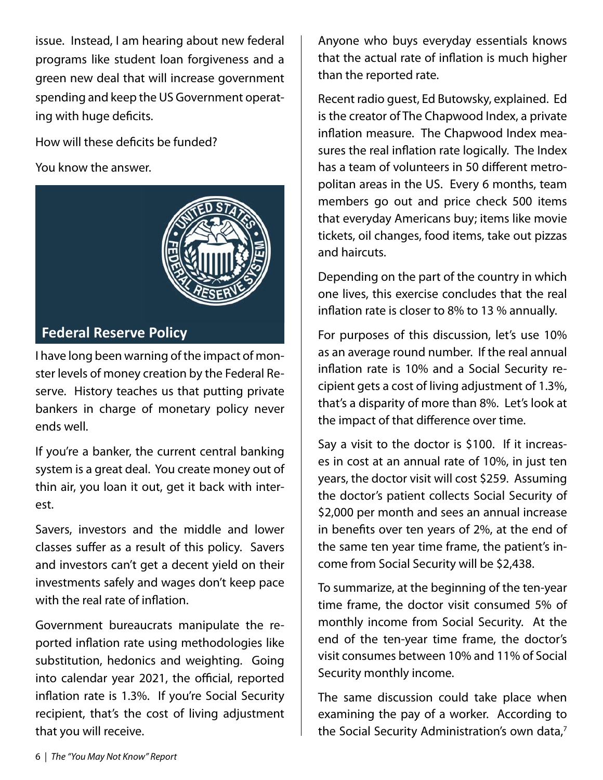issue. Instead, I am hearing about new federal programs like student loan forgiveness and a green new deal that will increase government spending and keep the US Government operating with huge deficits.

How will these deficits be funded?

You know the answer.



## **Federal Reserve Policy**

I have long been warning of the impact of monster levels of money creation by the Federal Reserve. History teaches us that putting private bankers in charge of monetary policy never ends well.

If you're a banker, the current central banking system is a great deal. You create money out of thin air, you loan it out, get it back with interest.

Savers, investors and the middle and lower classes suffer as a result of this policy. Savers and investors can't get a decent yield on their investments safely and wages don't keep pace with the real rate of inflation.

Government bureaucrats manipulate the reported inflation rate using methodologies like substitution, hedonics and weighting. Going into calendar year 2021, the official, reported inflation rate is 1.3%. If you're Social Security recipient, that's the cost of living adjustment that you will receive.

Anyone who buys everyday essentials knows that the actual rate of inflation is much higher than the reported rate.

Recent radio guest, Ed Butowsky, explained. Ed is the creator of The Chapwood Index, a private inflation measure. The Chapwood Index measures the real inflation rate logically. The Index has a team of volunteers in 50 different metropolitan areas in the US. Every 6 months, team members go out and price check 500 items that everyday Americans buy; items like movie tickets, oil changes, food items, take out pizzas and haircuts.

Depending on the part of the country in which one lives, this exercise concludes that the real inflation rate is closer to 8% to 13 % annually.

For purposes of this discussion, let's use 10% as an average round number. If the real annual inflation rate is 10% and a Social Security recipient gets a cost of living adjustment of 1.3%, that's a disparity of more than 8%. Let's look at the impact of that difference over time.

Say a visit to the doctor is \$100. If it increases in cost at an annual rate of 10%, in just ten years, the doctor visit will cost \$259. Assuming the doctor's patient collects Social Security of \$2,000 per month and sees an annual increase in benefits over ten years of 2%, at the end of the same ten year time frame, the patient's income from Social Security will be \$2,438.

To summarize, at the beginning of the ten-year time frame, the doctor visit consumed 5% of monthly income from Social Security. At the end of the ten-year time frame, the doctor's visit consumes between 10% and 11% of Social Security monthly income.

The same discussion could take place when examining the pay of a worker. According to the Social Security Administration's own data,<sup>7</sup>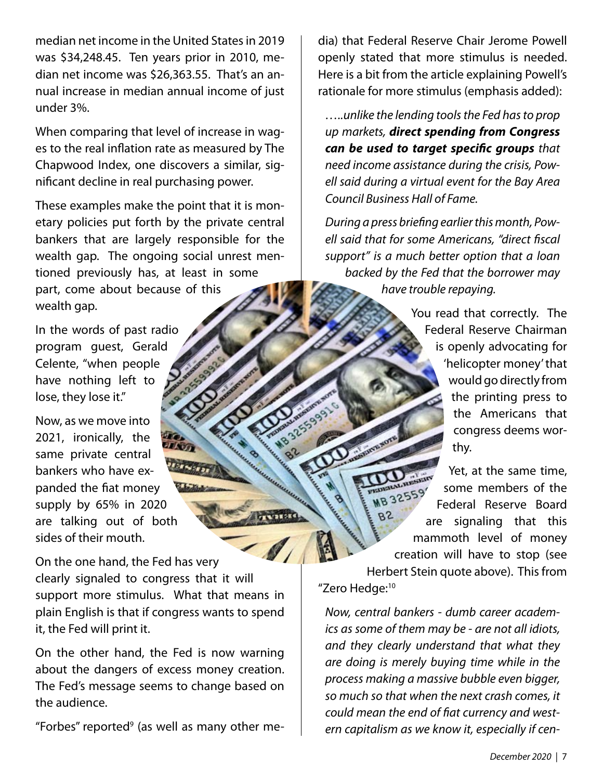median net income in the United States in 2019 was \$34,248.45. Ten years prior in 2010, median net income was \$26,363.55. That's an annual increase in median annual income of just under 3%.

When comparing that level of increase in wages to the real inflation rate as measured by The Chapwood Index, one discovers a similar, significant decline in real purchasing power.

These examples make the point that it is monetary policies put forth by the private central bankers that are largely responsible for the wealth gap. The ongoing social unrest mentioned previously has, at least in some part, come about because of this wealth gap.

In the words of past radio program guest, Gerald Celente, "when people have nothing left to lose, they lose it."

Now, as we move into 2021, ironically, the same private central bankers who have expanded the fiat money supply by 65% in 2020 are talking out of both sides of their mouth.

On the one hand, the Fed has very clearly signaled to congress that it will support more stimulus. What that means in plain English is that if congress wants to spend it, the Fed will print it.

On the other hand, the Fed is now warning about the dangers of excess money creation. The Fed's message seems to change based on the audience.

"Forbes" reported<sup>9</sup> (as well as many other me-

dia) that Federal Reserve Chair Jerome Powell openly stated that more stimulus is needed. Here is a bit from the article explaining Powell's rationale for more stimulus (emphasis added):

*…..unlike the lending tools the Fed has to prop up markets, direct spending from Congress can be used to target specific groups that need income assistance during the crisis, Powell said during a virtual event for the Bay Area Council Business Hall of Fame.*

*During a press briefing earlier this month, Powell said that for some Americans, "direct fiscal support" is a much better option that a loan backed by the Fed that the borrower may have trouble repaying.*

> You read that correctly. The Federal Reserve Chairman is openly advocating for 'helicopter money' that would go directly from the printing press to the Americans that congress deems worthy.

Yet, at the same time, some members of the Federal Reserve Board are signaling that this mammoth level of money creation will have to stop (see Herbert Stein quote above). This from "Zero Hedge:<sup>10</sup>

*Now, central bankers - dumb career academics as some of them may be - are not all idiots, and they clearly understand that what they are doing is merely buying time while in the process making a massive bubble even bigger, so much so that when the next crash comes, it could mean the end of fiat currency and western capitalism as we know it, especially if cen-*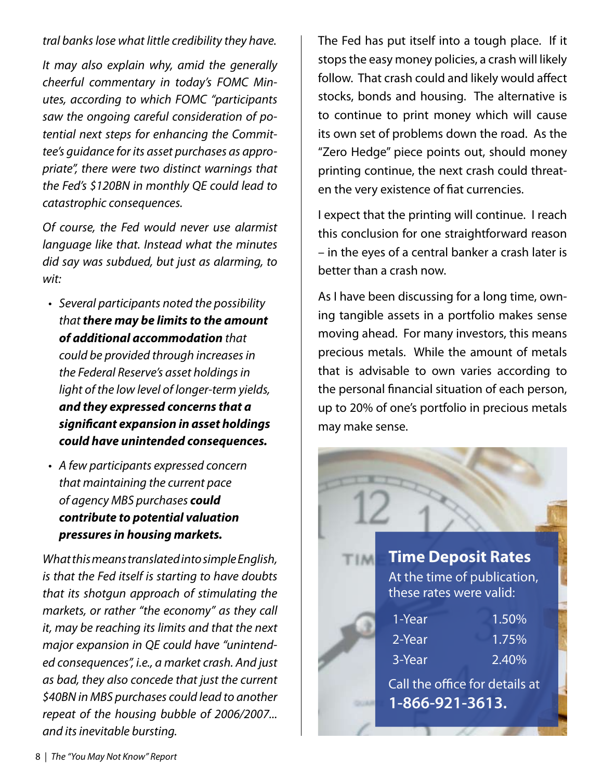*tral banks lose what little credibility they have.*

*It may also explain why, amid the generally cheerful commentary in today's FOMC Minutes, according to which FOMC "participants saw the ongoing careful consideration of potential next steps for enhancing the Committee's guidance for its asset purchases as appropriate", there were two distinct warnings that the Fed's \$120BN in monthly QE could lead to catastrophic consequences.*

*Of course, the Fed would never use alarmist language like that. Instead what the minutes did say was subdued, but just as alarming, to wit:*

- *Several participants noted the possibility • that there may be limits to the amount of additional accommodation that could be provided through increases in the Federal Reserve's asset holdings in light of the low level of longer-term yields, and they expressed concerns that a significant expansion in asset holdings could have unintended consequences.*
- *A few participants expressed concern • that maintaining the current pace of agency MBS purchases could contribute to potential valuation pressures in housing markets.*

*What this means translated into simple English, is that the Fed itself is starting to have doubts that its shotgun approach of stimulating the markets, or rather "the economy" as they call it, may be reaching its limits and that the next major expansion in QE could have "unintended consequences", i.e., a market crash. And just as bad, they also concede that just the current \$40BN in MBS purchases could lead to another repeat of the housing bubble of 2006/2007... and its inevitable bursting.*

The Fed has put itself into a tough place. If it stops the easy money policies, a crash will likely follow. That crash could and likely would affect stocks, bonds and housing. The alternative is to continue to print money which will cause its own set of problems down the road. As the "Zero Hedge" piece points out, should money printing continue, the next crash could threaten the very existence of fiat currencies.

I expect that the printing will continue. I reach this conclusion for one straightforward reason – in the eyes of a central banker a crash later is better than a crash now.

As I have been discussing for a long time, owning tangible assets in a portfolio makes sense moving ahead. For many investors, this means precious metals. While the amount of metals that is advisable to own varies according to the personal financial situation of each person, up to 20% of one's portfolio in precious metals may make sense.

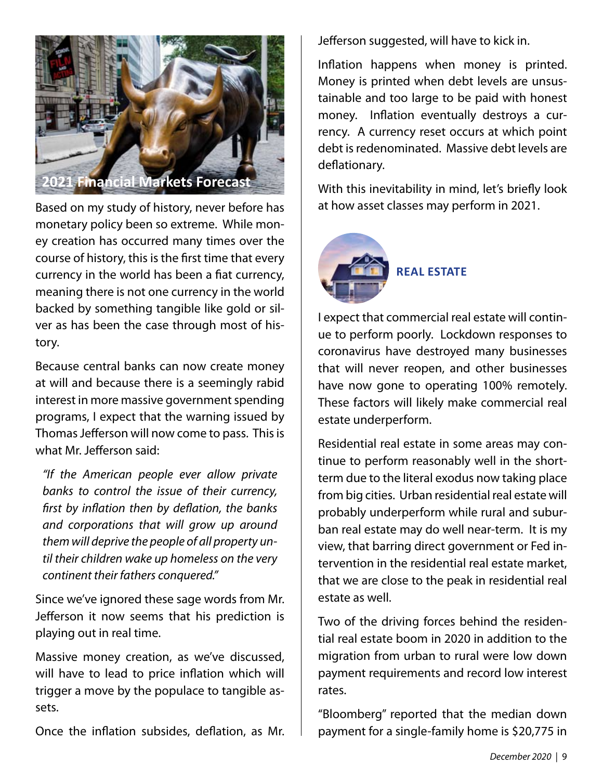

Based on my study of history, never before has  $\parallel$  at how asset classes may perform in 2021. monetary policy been so extreme. While money creation has occurred many times over the course of history, this is the first time that every currency in the world has been a fiat currency, meaning there is not one currency in the world backed by something tangible like gold or silver as has been the case through most of history.

Because central banks can now create money at will and because there is a seemingly rabid interest in more massive government spending programs, I expect that the warning issued by Thomas Jefferson will now come to pass. This is what Mr. Jefferson said:

*"If the American people ever allow private banks to control the issue of their currency, first by inflation then by deflation, the banks and corporations that will grow up around them will deprive the people of all property until their children wake up homeless on the very continent their fathers conquered."*

Since we've ignored these sage words from Mr. Jefferson it now seems that his prediction is playing out in real time.

Massive money creation, as we've discussed, will have to lead to price inflation which will trigger a move by the populace to tangible assets.

Once the inflation subsides, deflation, as Mr.

Jefferson suggested, will have to kick in.

Inflation happens when money is printed. Money is printed when debt levels are unsustainable and too large to be paid with honest money. Inflation eventually destroys a currency. A currency reset occurs at which point debt is redenominated. Massive debt levels are deflationary.

With this inevitability in mind, let's briefly look



I expect that commercial real estate will continue to perform poorly. Lockdown responses to coronavirus have destroyed many businesses that will never reopen, and other businesses have now gone to operating 100% remotely. These factors will likely make commercial real estate underperform.

Residential real estate in some areas may continue to perform reasonably well in the shortterm due to the literal exodus now taking place from big cities. Urban residential real estate will probably underperform while rural and suburban real estate may do well near-term. It is my view, that barring direct government or Fed intervention in the residential real estate market, that we are close to the peak in residential real estate as well.

Two of the driving forces behind the residential real estate boom in 2020 in addition to the migration from urban to rural were low down payment requirements and record low interest rates.

"Bloomberg" reported that the median down payment for a single-family home is \$20,775 in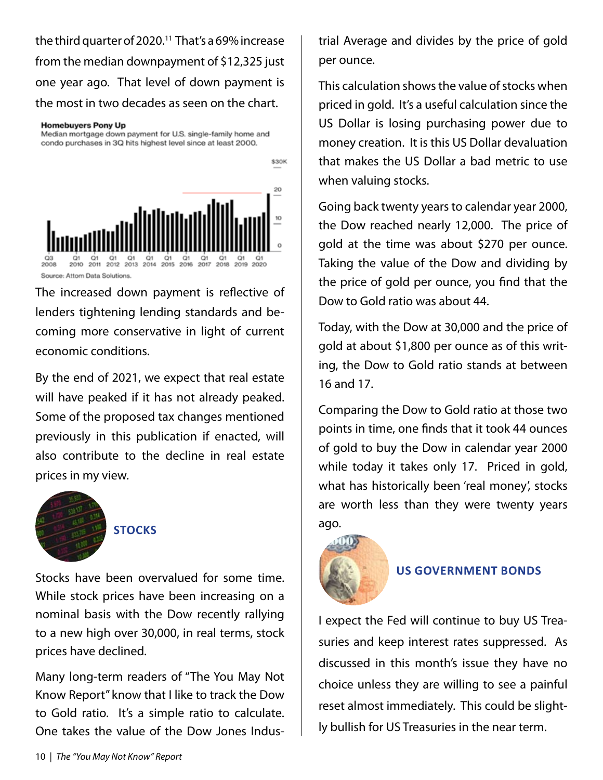the third quarter of 2020.<sup>11</sup> That's a 69% increase from the median downpayment of \$12,325 just one year ago. That level of down payment is the most in two decades as seen on the chart.

#### **Homebuyers Pony Up**

Median mortgage down payment for U.S. single-family home and condo purchases in 3Q hits highest level since at least 2000.



The increased down payment is reflective of lenders tightening lending standards and becoming more conservative in light of current economic conditions.

By the end of 2021, we expect that real estate will have peaked if it has not already peaked. Some of the proposed tax changes mentioned previously in this publication if enacted, will also contribute to the decline in real estate prices in my view.



### **Stocks**

Stocks have been overvalued for some time. While stock prices have been increasing on a nominal basis with the Dow recently rallying to a new high over 30,000, in real terms, stock prices have declined.

Many long-term readers of "The You May Not Know Report" know that I like to track the Dow to Gold ratio. It's a simple ratio to calculate. One takes the value of the Dow Jones Industrial Average and divides by the price of gold per ounce.

This calculation shows the value of stocks when priced in gold. It's a useful calculation since the US Dollar is losing purchasing power due to money creation. It is this US Dollar devaluation that makes the US Dollar a bad metric to use when valuing stocks.

Going back twenty years to calendar year 2000, the Dow reached nearly 12,000. The price of gold at the time was about \$270 per ounce. Taking the value of the Dow and dividing by the price of gold per ounce, you find that the Dow to Gold ratio was about 44.

Today, with the Dow at 30,000 and the price of gold at about \$1,800 per ounce as of this writing, the Dow to Gold ratio stands at between 16 and 17.

Comparing the Dow to Gold ratio at those two points in time, one finds that it took 44 ounces of gold to buy the Dow in calendar year 2000 while today it takes only 17. Priced in gold, what has historically been 'real money', stocks are worth less than they were twenty years ago.



### **US Government Bonds**

I expect the Fed will continue to buy US Treasuries and keep interest rates suppressed. As discussed in this month's issue they have no choice unless they are willing to see a painful reset almost immediately. This could be slightly bullish for US Treasuries in the near term.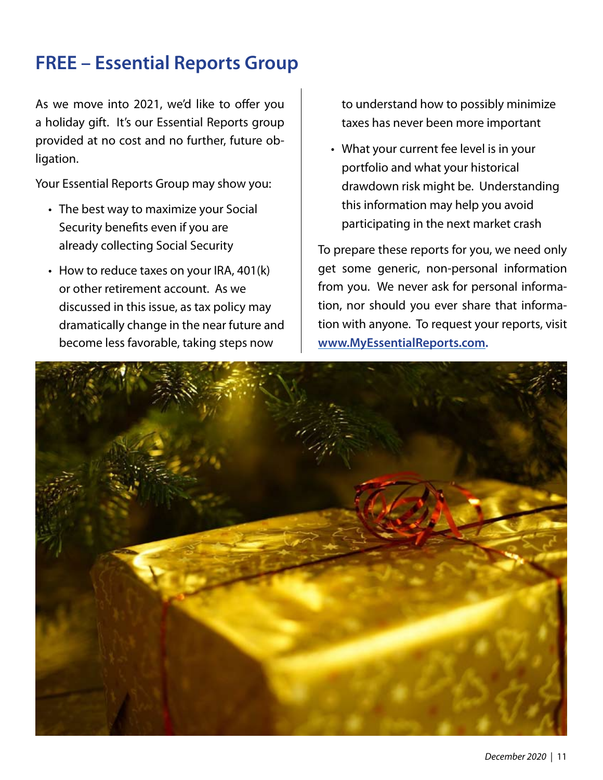## **FREE – Essential Reports Group**

As we move into 2021, we'd like to offer you a holiday gift. It's our Essential Reports group provided at no cost and no further, future obligation.

Your Essential Reports Group may show you:

- The best way to maximize your Social Security benefits even if you are already collecting Social Security
- How to reduce taxes on your IRA, 401(k) or other retirement account. As we discussed in this issue, as tax policy may dramatically change in the near future and become less favorable, taking steps now

to understand how to possibly minimize taxes has never been more important

What your current fee level is in your •portfolio and what your historical drawdown risk might be. Understanding this information may help you avoid participating in the next market crash

To prepare these reports for you, we need only get some generic, non-personal information from you. We never ask for personal information, nor should you ever share that information with anyone. To request your reports, visit **www.MyEssentialReports.com.**